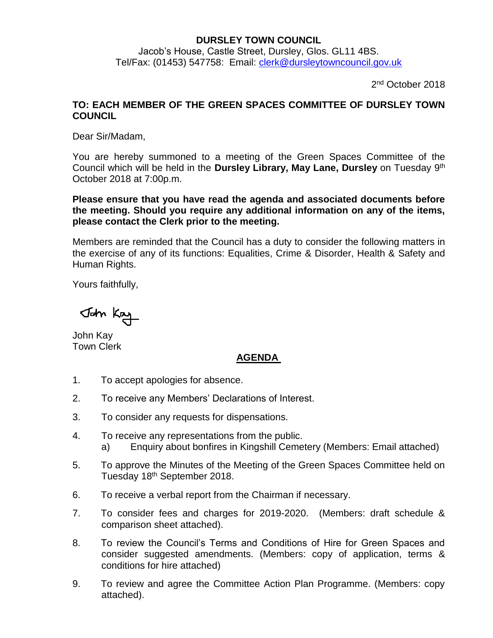## **DURSLEY TOWN COUNCIL**

Jacob's House, Castle Street, Dursley, Glos. GL11 4BS. Tel/Fax: (01453) 547758: Email: [clerk@dursleytowncouncil.gov.uk](mailto:clerk@dursleytowncouncil.gov.uk)

2<sup>nd</sup> October 2018

## **TO: EACH MEMBER OF THE GREEN SPACES COMMITTEE OF DURSLEY TOWN COUNCIL**

Dear Sir/Madam,

You are hereby summoned to a meeting of the Green Spaces Committee of the Council which will be held in the Dursley Library, May Lane, Dursley on Tuesday 9<sup>th</sup> October 2018 at 7:00p.m.

**Please ensure that you have read the agenda and associated documents before the meeting. Should you require any additional information on any of the items, please contact the Clerk prior to the meeting.** 

Members are reminded that the Council has a duty to consider the following matters in the exercise of any of its functions: Equalities, Crime & Disorder, Health & Safety and Human Rights.

Yours faithfully,

John Kay

John Kay Town Clerk

## **AGENDA**

- 1. To accept apologies for absence.
- 2. To receive any Members' Declarations of Interest.
- 3. To consider any requests for dispensations.
- 4. To receive any representations from the public. a) Enquiry about bonfires in Kingshill Cemetery (Members: Email attached)
- 5. To approve the Minutes of the Meeting of the Green Spaces Committee held on Tuesday 18<sup>th</sup> September 2018.
- 6. To receive a verbal report from the Chairman if necessary.
- 7. To consider fees and charges for 2019-2020. (Members: draft schedule & comparison sheet attached).
- 8. To review the Council's Terms and Conditions of Hire for Green Spaces and consider suggested amendments. (Members: copy of application, terms & conditions for hire attached)
- 9. To review and agree the Committee Action Plan Programme. (Members: copy attached).